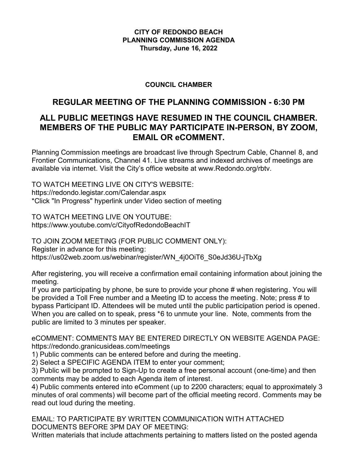### **CITY OF REDONDO BEACH PLANNING COMMISSION AGENDA Thursday, June 16, 2022**

## **COUNCIL CHAMBER**

## **REGULAR MEETING OF THE PLANNING COMMISSION - 6:30 PM**

## **ALL PUBLIC MEETINGS HAVE RESUMED IN THE COUNCIL CHAMBER. MEMBERS OF THE PUBLIC MAY PARTICIPATE IN-PERSON, BY ZOOM, EMAIL OR eCOMMENT.**

Planning Commission meetings are broadcast live through Spectrum Cable, Channel 8, and Frontier Communications, Channel 41. Live streams and indexed archives of meetings are available via internet. Visit the City's office website at www.Redondo.org/rbtv.

TO WATCH MEETING LIVE ON CITY'S WEBSITE: https://redondo.legistar.com/Calendar.aspx \*Click "In Progress" hyperlink under Video section of meeting

TO WATCH MEETING LIVE ON YOUTUBE: https://www.youtube.com/c/CityofRedondoBeachIT

TO JOIN ZOOM MEETING (FOR PUBLIC COMMENT ONLY): Register in advance for this meeting: https://us02web.zoom.us/webinar/register/WN\_4j0OiT6\_S0eJd36U-jTbXg

After registering, you will receive a confirmation email containing information about joining the meeting.

If you are participating by phone, be sure to provide your phone # when registering. You will be provided a Toll Free number and a Meeting ID to access the meeting. Note; press # to bypass Participant ID. Attendees will be muted until the public participation period is opened. When you are called on to speak, press \*6 to unmute your line. Note, comments from the public are limited to 3 minutes per speaker.

eCOMMENT: COMMENTS MAY BE ENTERED DIRECTLY ON WEBSITE AGENDA PAGE: https://redondo.granicusideas.com/meetings

1) Public comments can be entered before and during the meeting.

2) Select a SPECIFIC AGENDA ITEM to enter your comment;

3) Public will be prompted to Sign-Up to create a free personal account (one-time) and then comments may be added to each Agenda item of interest.

4) Public comments entered into eComment (up to 2200 characters; equal to approximately 3 minutes of oral comments) will become part of the official meeting record. Comments may be read out loud during the meeting.

EMAIL: TO PARTICIPATE BY WRITTEN COMMUNICATION WITH ATTACHED DOCUMENTS BEFORE 3PM DAY OF MEETING:

Written materials that include attachments pertaining to matters listed on the posted agenda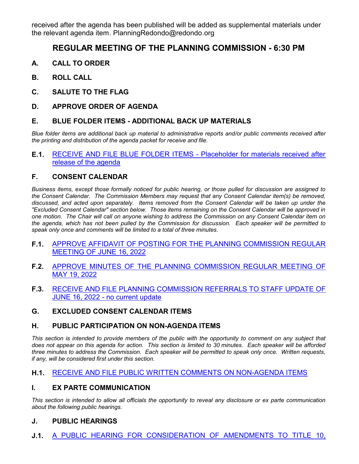received after the agenda has been published will be added as supplemental materials under the relevant agenda item. PlanningRedondo@redondo.org

# **REGULAR MEETING OF THE PLANNING COMMISSION - 6:30 PM**

- **A. CALL TO ORDER**
- **B. ROLL CALL**
- **C. SALUTE TO THE FLAG**
- **D. APPROVE ORDER OF AGENDA**

#### **E. BLUE FOLDER ITEMS - ADDITIONAL BACK UP MATERIALS**

*Blue folder items are additional back up material to administrative reports and/or public comments received after the printing and distribution of the agenda packet for receive and file.*

#### **E.1.** [RECEIVE AND FILE BLUE FOLDER ITEMS - Placeholder for materials received after](http://redondo.legistar.com/gateway.aspx?m=l&id=/matter.aspx?key=5868) release of the agenda

#### **F. CONSENT CALENDAR**

*Business items, except those formally noticed for public hearing, or those pulled for discussion are assigned to the Consent Calendar. The Commission Members may request that any Consent Calendar item(s) be removed, discussed, and acted upon separately. Items removed from the Consent Calendar will be taken up under the "Excluded Consent Calendar" section below. Those items remaining on the Consent Calendar will be approved in one motion. The Chair will call on anyone wishing to address the Commission on any Consent Calendar item on the agenda, which has not been pulled by the Commission for discussion. Each speaker will be permitted to speak only once and comments will be limited to a total of three minutes.*

- **F.1.** [APPROVE AFFIDAVIT OF POSTING FOR THE PLANNING COMMISSION REGULAR](http://redondo.legistar.com/gateway.aspx?m=l&id=/matter.aspx?key=5861) MEETING OF JUNE 16, 2022
- **F.2.** [APPROVE MINUTES OF THE PLANNING COMMISSION REGULAR MEETING OF](http://redondo.legistar.com/gateway.aspx?m=l&id=/matter.aspx?key=5863) MAY 19, 2022
- **F.3.** [RECEIVE AND FILE PLANNING COMMISSION REFERRALS TO STAFF UPDATE OF](http://redondo.legistar.com/gateway.aspx?m=l&id=/matter.aspx?key=5864) JUNE 16, 2022 - no current update
- **G. EXCLUDED CONSENT CALENDAR ITEMS**

#### **H. PUBLIC PARTICIPATION ON NON-AGENDA ITEMS**

This section is intended to provide members of the public with the opportunity to comment on any subject that *does not appear on this agenda for action. This section is limited to 30 minutes. Each speaker will be afforded three minutes to address the Commission. Each speaker will be permitted to speak only once. Written requests, if any, will be considered first under this section.*

#### **H.1.** [RECEIVE AND FILE PUBLIC WRITTEN COMMENTS ON NON-AGENDA ITEMS](http://redondo.legistar.com/gateway.aspx?m=l&id=/matter.aspx?key=5862)

#### **I. EX PARTE COMMUNICATION**

*This section is intended to allow all officials the opportunity to reveal any disclosure or ex parte communication about the following public hearings.*

#### **J. PUBLIC HEARINGS**

**J.1.** [A PUBLIC HEARING FOR CONSIDERATION OF AMENDMENTS TO TITLE 10,](http://redondo.legistar.com/gateway.aspx?m=l&id=/matter.aspx?key=5866)